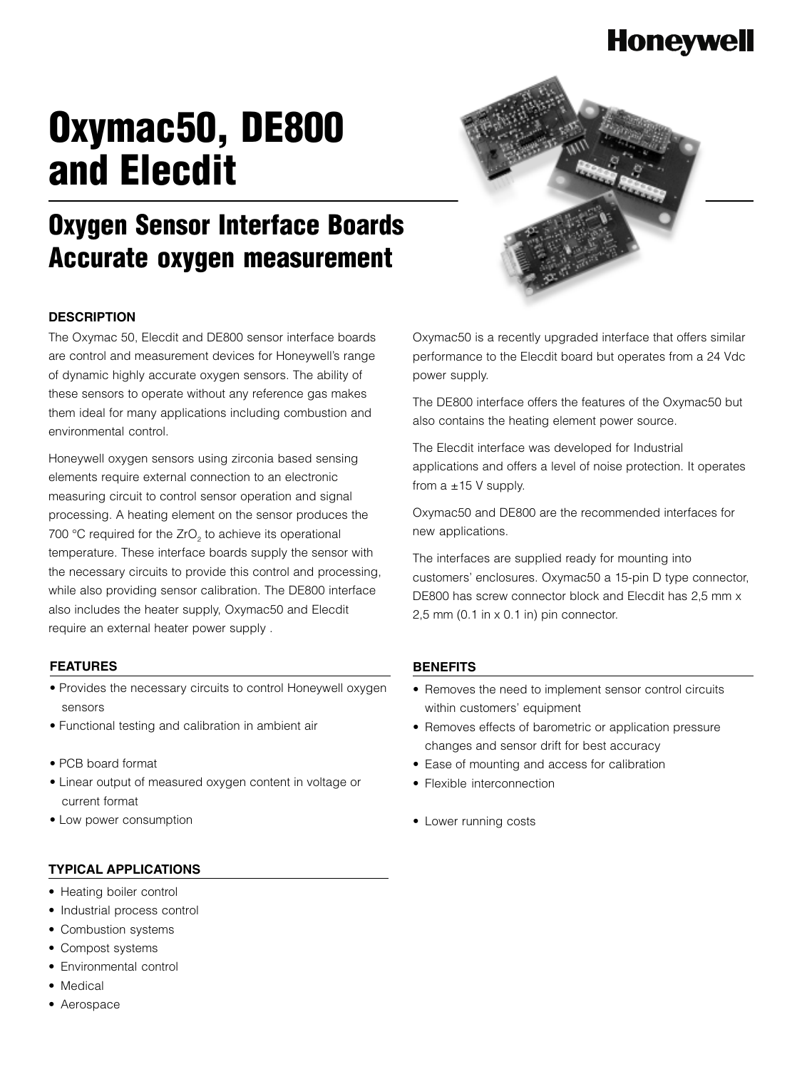### **Honeywell**

# **Oxymac50, DE800 and Elecdit**



# **Oxygen Sensor Interface Boards Accurate oxygen measurement**

### **DESCRIPTION**

The Oxymac 50, Elecdit and DE800 sensor interface boards are control and measurement devices for Honeywell's range of dynamic highly accurate oxygen sensors. The ability of these sensors to operate without any reference gas makes them ideal for many applications including combustion and environmental control.

Honeywell oxygen sensors using zirconia based sensing elements require external connection to an electronic measuring circuit to control sensor operation and signal processing. A heating element on the sensor produces the 700 °C required for the ZrO<sub>2</sub> to achieve its operational temperature. These interface boards supply the sensor with the necessary circuits to provide this control and processing, while also providing sensor calibration. The DE800 interface also includes the heater supply, Oxymac50 and Elecdit require an external heater power supply .

#### **FEATURES**

- Provides the necessary circuits to control Honeywell oxygen sensors
- Functional testing and calibration in ambient air
- PCB board format
- Linear output of measured oxygen content in voltage or current format
- Low power consumption

#### **TYPICAL APPLICATIONS**

- Heating boiler control
- Industrial process control
- Combustion systems
- Compost systems
- Environmental control
- Medical
- Aerospace

Oxymac50 is a recently upgraded interface that offers similar performance to the Elecdit board but operates from a 24 Vdc power supply.

The DE800 interface offers the features of the Oxymac50 but also contains the heating element power source.

The Elecdit interface was developed for Industrial applications and offers a level of noise protection. It operates from  $a \pm 15$  V supply.

Oxymac50 and DE800 are the recommended interfaces for new applications.

The interfaces are supplied ready for mounting into customers' enclosures. Oxymac50 a 15-pin D type connector, DE800 has screw connector block and Elecdit has 2,5 mm x 2,5 mm (0.1 in x 0.1 in) pin connector.

### **BENEFITS**

- Removes the need to implement sensor control circuits within customers' equipment
- Removes effects of barometric or application pressure changes and sensor drift for best accuracy
- Ease of mounting and access for calibration
- Flexible interconnection
- Lower running costs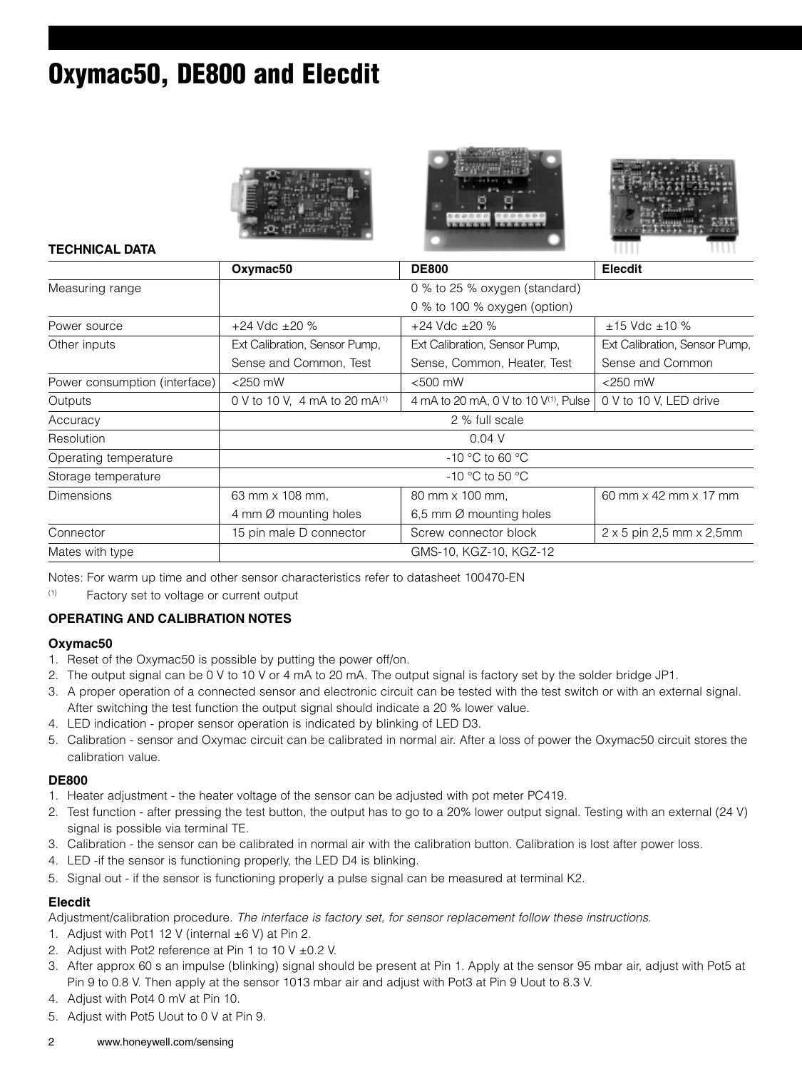## **Oxymac50, DE800 and Elecdit**







### **TECHNICAL DATA**

|                               | Oxymac <sub>50</sub>          | <b>DE800</b>                                      | <b>Elecdit</b>                          |
|-------------------------------|-------------------------------|---------------------------------------------------|-----------------------------------------|
| Measuring range               |                               | 0 % to 25 % oxygen (standard)                     |                                         |
|                               |                               | 0 % to 100 % oxygen (option)                      |                                         |
| Power source                  | $+24$ Vdc $\pm 20$ %          | $+24$ Vdc $\pm 20$ %                              | $±15$ Vdc $±10$ %                       |
| Other inputs                  | Ext Calibration, Sensor Pump, | Ext Calibration, Sensor Pump,                     | Ext Calibration, Sensor Pump,           |
|                               | Sense and Common, Test        | Sense, Common, Heater, Test                       | Sense and Common                        |
| Power consumption (interface) | $<$ 250 mW                    | $<$ 500 mW                                        | $<$ 250 mW                              |
| Outputs                       | 0 V to 10 V, 4 mA to 20 mA(1) | 4 mA to 20 mA, 0 V to 10 V <sup>(1)</sup> , Pulse | 0 V to 10 V, LED drive                  |
| Accuracy                      | 2 % full scale                |                                                   |                                         |
| Resolution                    |                               | $0.04$ V                                          |                                         |
| Operating temperature         |                               | $-10$ °C to 60 °C                                 |                                         |
| Storage temperature           | $-10$ °C to 50 °C             |                                                   |                                         |
| <b>Dimensions</b>             | 63 mm x 108 mm,               | 80 mm x 100 mm.                                   | 60 mm x 42 mm x 17 mm                   |
|                               | 4 mm Ø mounting holes         | 6,5 mm $\varnothing$ mounting holes               |                                         |
| Connector                     | 15 pin male D connector       | Screw connector block                             | $2 \times 5$ pin 2,5 mm $\times$ 2,5 mm |
| Mates with type               |                               | GMS-10, KGZ-10, KGZ-12                            |                                         |

Notes: For warm up time and other sensor characteristics refer to datasheet 100470-EN

(1) Factory set to voltage or current output

### **OPERATING AND CALIBRATION NOTES**

### **Oxymac50**

- 1. Reset of the Oxymac50 is possible by putting the power off/on.
- 2. The output signal can be 0 V to 10 V or 4 mA to 20 mA. The output signal is factory set by the solder bridge JP1.
- 3. A proper operation of a connected sensor and electronic circuit can be tested with the test switch or with an external signal. After switching the test function the output signal should indicate a 20 % lower value.
- 4. LED indication proper sensor operation is indicated by blinking of LED D3.
- 5. Calibration sensor and Oxymac circuit can be calibrated in normal air. After a loss of power the Oxymac50 circuit stores the calibration value.

### **DE800**

- 1. Heater adjustment the heater voltage of the sensor can be adjusted with pot meter PC419.
- 2. Test function after pressing the test button, the output has to go to a 20% lower output signal. Testing with an external (24 V) signal is possible via terminal TE.
- 3. Calibration the sensor can be calibrated in normal air with the calibration button. Calibration is lost after power loss.
- 4. LED -if the sensor is functioning properly, the LED D4 is blinking.
- 5. Signal out if the sensor is functioning properly a pulse signal can be measured at terminal K2.

### **Elecdit**

Adjustment/calibration procedure. The interface is factory set, for sensor replacement follow these instructions.

- 1. Adjust with Pot1 12 V (internal  $\pm 6$  V) at Pin 2.
- 2. Adjust with Pot2 reference at Pin 1 to 10 V ±0.2 V.
- 3. After approx 60 s an impulse (blinking) signal should be present at Pin 1. Apply at the sensor 95 mbar air, adjust with Pot5 at Pin 9 to 0.8 V. Then apply at the sensor 1013 mbar air and adjust with Pot3 at Pin 9 Uout to 8.3 V.
- 4. Adjust with Pot4 0 mV at Pin 10.
- 5. Adjust with Pot5 Uout to 0 V at Pin 9.
- 2 www.honeywell.com/sensing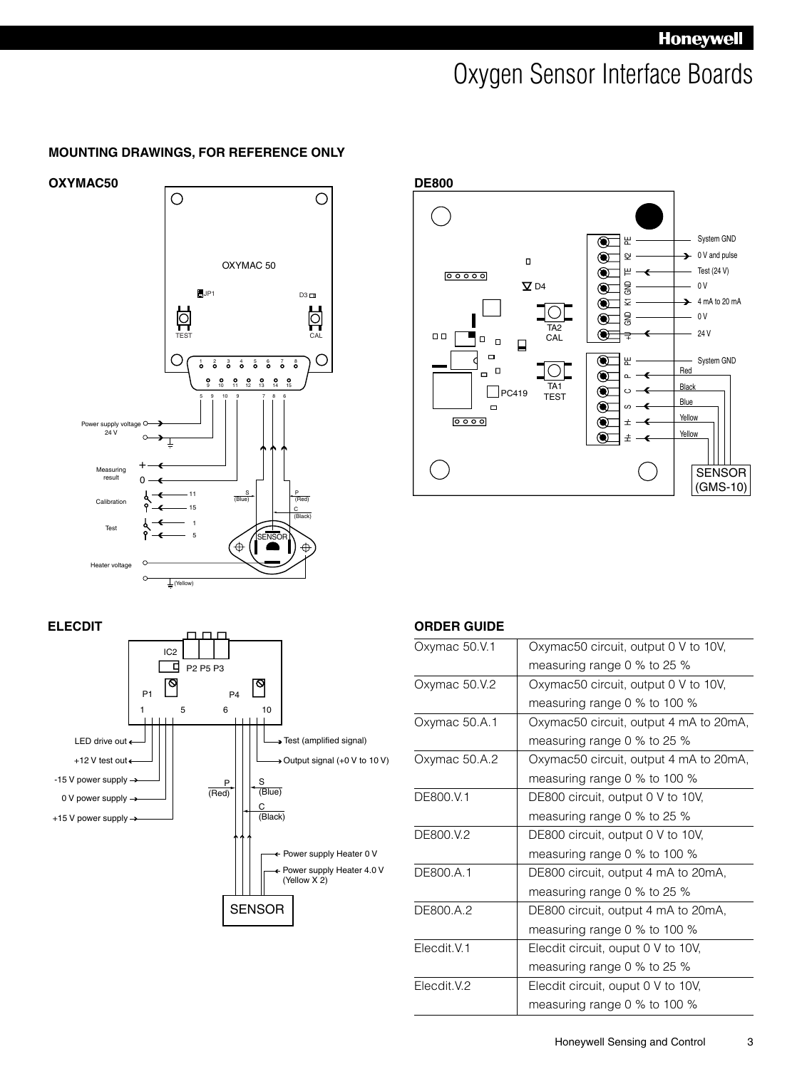### Oxygen Sensor Interface Boards

### **MOUNTING DRAWINGS, FOR REFERENCE ONLY**





### **ELECDIT**



### **ORDER GUIDE**

| Oxymac 50.V.1 | Oxymac50 circuit, output 0 V to 10V,   |
|---------------|----------------------------------------|
|               | measuring range 0 % to 25 %            |
| Oxymac 50.V.2 | Oxymac50 circuit, output 0 V to 10V,   |
|               | measuring range 0 % to 100 %           |
| Oxymac 50.A.1 | Oxymac50 circuit, output 4 mA to 20mA, |
|               | measuring range 0 % to 25 %            |
| Oxymac 50.A.2 | Oxymac50 circuit, output 4 mA to 20mA, |
|               | measuring range 0 % to 100 %           |
| DE800.V.1     | DE800 circuit, output 0 V to 10V,      |
|               | measuring range 0 % to 25 %            |
| DE800.V.2     | DE800 circuit, output 0 V to 10V,      |
|               | measuring range 0 % to 100 %           |
| DE800.A.1     | DE800 circuit, output 4 mA to 20mA,    |
|               | measuring range 0 % to 25 %            |
| DE800.A.2     | DE800 circuit, output 4 mA to 20mA,    |
|               | measuring range 0 % to 100 %           |
| Flecdit V.1   | Elecdit circuit, ouput 0 V to 10V,     |
|               | measuring range 0 % to 25 %            |
| Elecdit.V.2   | Elecdit circuit, ouput 0 V to 10V,     |
|               | measuring range 0 % to 100 %           |
|               |                                        |